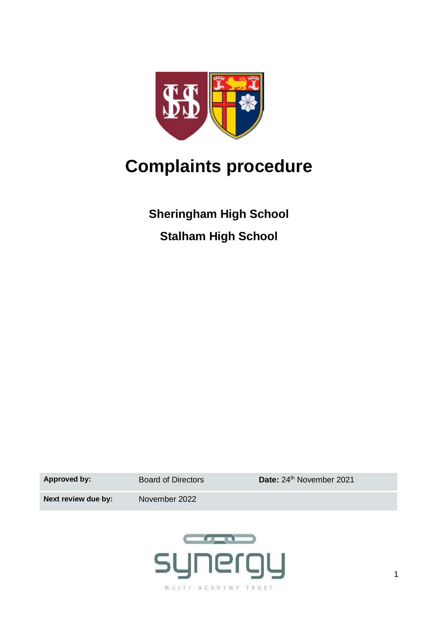

# **Complaints procedure**

**Sheringham High School Stalham High School**

Approved by: Board of Directors **Date:** 24<sup>th</sup> November 2021

**Next review due by:** November 2022

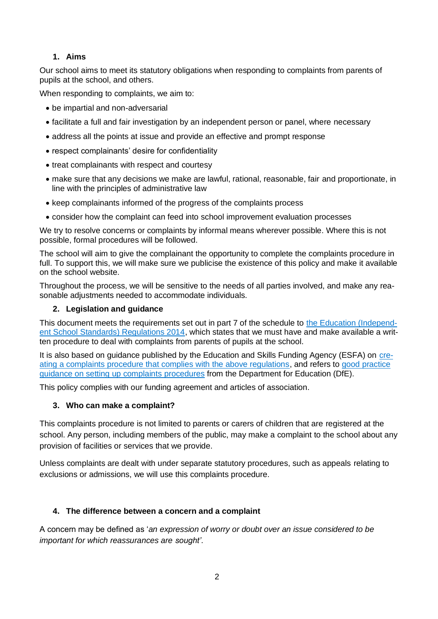#### **1. Aims**

Our school aims to meet its statutory obligations when responding to complaints from parents of pupils at the school, and others.

When responding to complaints, we aim to:

- be impartial and non-adversarial
- facilitate a full and fair investigation by an independent person or panel, where necessary
- address all the points at issue and provide an effective and prompt response
- respect complainants' desire for confidentiality
- treat complainants with respect and courtesy
- make sure that any decisions we make are lawful, rational, reasonable, fair and proportionate, in line with the principles of administrative law
- keep complainants informed of the progress of the complaints process
- consider how the complaint can feed into school improvement evaluation processes

We try to resolve concerns or complaints by informal means wherever possible. Where this is not possible, formal procedures will be followed.

The school will aim to give the complainant the opportunity to complete the complaints procedure in full. To support this, we will make sure we publicise the existence of this policy and make it available on the school website.

Throughout the process, we will be sensitive to the needs of all parties involved, and make any reasonable adjustments needed to accommodate individuals.

#### **2. Legislation and guidance**

This document meets the requirements set out in part 7 of the schedule to the [Education \(Independ](http://www.legislation.gov.uk/uksi/2014/3283/schedule/made)[ent School Standards\) Regulations 2014,](http://www.legislation.gov.uk/uksi/2014/3283/schedule/made) which states that we must have and make available a written procedure to deal with complaints from parents of pupils at the school.

It is also based on guidance published by the Education and Skills Funding Agency (ESFA) on [cre](https://www.gov.uk/government/publications/setting-up-an-academies-complaints-procedure)[ating a complaints procedure that complies with the above regulations,](https://www.gov.uk/government/publications/setting-up-an-academies-complaints-procedure) and refers to [good practice](https://www.gov.uk/government/publications/school-complaints-procedures)  [guidance on setting up complaints procedures](https://www.gov.uk/government/publications/school-complaints-procedures) from the Department for Education (DfE).

This policy complies with our funding agreement and articles of association.

#### **3. Who can make a complaint?**

This complaints procedure is not limited to parents or carers of children that are registered at the school. Any person, including members of the public, may make a complaint to the school about any provision of facilities or services that we provide.

Unless complaints are dealt with under separate statutory procedures, such as appeals relating to exclusions or admissions, we will use this complaints procedure.

#### **4. The difference between a concern and a complaint**

A concern may be defined as '*an expression of worry or doubt over an issue considered to be important for which reassurances are sought'*.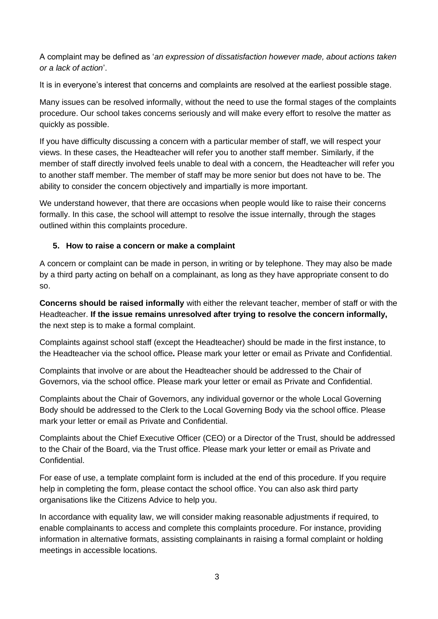A complaint may be defined as '*an expression of dissatisfaction however made, about actions taken or a lack of action*'.

It is in everyone's interest that concerns and complaints are resolved at the earliest possible stage.

Many issues can be resolved informally, without the need to use the formal stages of the complaints procedure. Our school takes concerns seriously and will make every effort to resolve the matter as quickly as possible.

If you have difficulty discussing a concern with a particular member of staff, we will respect your views. In these cases, the Headteacher will refer you to another staff member. Similarly, if the member of staff directly involved feels unable to deal with a concern, the Headteacher will refer you to another staff member. The member of staff may be more senior but does not have to be. The ability to consider the concern objectively and impartially is more important.

We understand however, that there are occasions when people would like to raise their concerns formally. In this case, the school will attempt to resolve the issue internally, through the stages outlined within this complaints procedure.

#### **5. How to raise a concern or make a complaint**

A concern or complaint can be made in person, in writing or by telephone. They may also be made by a third party acting on behalf on a complainant, as long as they have appropriate consent to do so.

**Concerns should be raised informally** with either the relevant teacher, member of staff or with the Headteacher. **If the issue remains unresolved after trying to resolve the concern informally,** the next step is to make a formal complaint.

Complaints against school staff (except the Headteacher) should be made in the first instance, to the Headteacher via the school office*.* Please mark your letter or email as Private and Confidential.

Complaints that involve or are about the Headteacher should be addressed to the Chair of Governors, via the school office. Please mark your letter or email as Private and Confidential.

Complaints about the Chair of Governors, any individual governor or the whole Local Governing Body should be addressed to the Clerk to the Local Governing Body via the school office. Please mark your letter or email as Private and Confidential.

Complaints about the Chief Executive Officer (CEO) or a Director of the Trust, should be addressed to the Chair of the Board, via the Trust office. Please mark your letter or email as Private and Confidential.

For ease of use, a template complaint form is included at the end of this procedure. If you require help in completing the form, please contact the school office. You can also ask third party organisations like the Citizens Advice to help you.

In accordance with equality law, we will consider making reasonable adjustments if required, to enable complainants to access and complete this complaints procedure. For instance, providing information in alternative formats, assisting complainants in raising a formal complaint or holding meetings in accessible locations.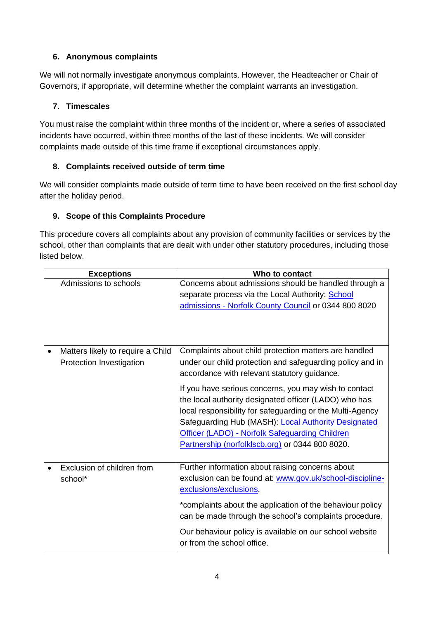#### **6. Anonymous complaints**

We will not normally investigate anonymous complaints. However, the Headteacher or Chair of Governors, if appropriate, will determine whether the complaint warrants an investigation.

#### **7. Timescales**

You must raise the complaint within three months of the incident or, where a series of associated incidents have occurred, within three months of the last of these incidents. We will consider complaints made outside of this time frame if exceptional circumstances apply.

#### **8. Complaints received outside of term time**

We will consider complaints made outside of term time to have been received on the first school day after the holiday period.

#### **9. Scope of this Complaints Procedure**

This procedure covers all complaints about any provision of community facilities or services by the school, other than complaints that are dealt with under other statutory procedures, including those listed below.

| <b>Exceptions</b>                 | Who to contact                                                                                                      |
|-----------------------------------|---------------------------------------------------------------------------------------------------------------------|
| Admissions to schools             | Concerns about admissions should be handled through a                                                               |
|                                   | separate process via the Local Authority: School                                                                    |
|                                   | admissions - Norfolk County Council or 0344 800 8020                                                                |
|                                   |                                                                                                                     |
|                                   |                                                                                                                     |
| Matters likely to require a Child | Complaints about child protection matters are handled                                                               |
| Protection Investigation          | under our child protection and safeguarding policy and in                                                           |
|                                   | accordance with relevant statutory guidance.                                                                        |
|                                   | If you have serious concerns, you may wish to contact                                                               |
|                                   | the local authority designated officer (LADO) who has                                                               |
|                                   | local responsibility for safeguarding or the Multi-Agency                                                           |
|                                   | Safeguarding Hub (MASH): Local Authority Designated                                                                 |
|                                   | Officer (LADO) - Norfolk Safeguarding Children                                                                      |
|                                   | Partnership (norfolklscb.org) or 0344 800 8020.                                                                     |
|                                   |                                                                                                                     |
| Exclusion of children from        | Further information about raising concerns about                                                                    |
| school*                           | exclusion can be found at: www.gov.uk/school-discipline-                                                            |
|                                   | exclusions/exclusions.                                                                                              |
|                                   | *complaints about the application of the behaviour policy<br>can be made through the school's complaints procedure. |
|                                   | Our behaviour policy is available on our school website<br>or from the school office.                               |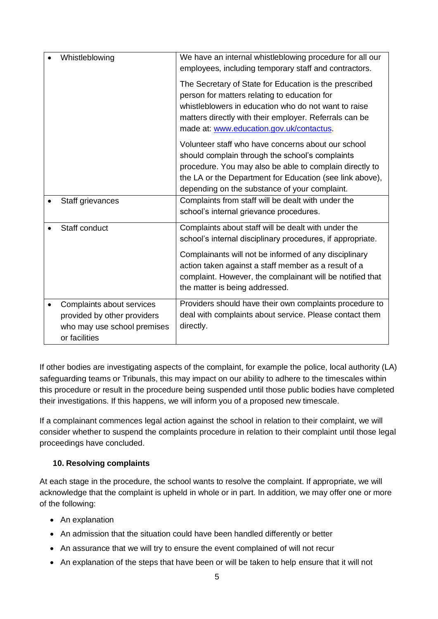| Whistleblowing                                                                                           | We have an internal whistleblowing procedure for all our<br>employees, including temporary staff and contractors.                                                                                                                                                                                                                 |
|----------------------------------------------------------------------------------------------------------|-----------------------------------------------------------------------------------------------------------------------------------------------------------------------------------------------------------------------------------------------------------------------------------------------------------------------------------|
|                                                                                                          | The Secretary of State for Education is the prescribed<br>person for matters relating to education for<br>whistleblowers in education who do not want to raise<br>matters directly with their employer. Referrals can be<br>made at: www.education.gov.uk/contactus.                                                              |
|                                                                                                          | Volunteer staff who have concerns about our school<br>should complain through the school's complaints<br>procedure. You may also be able to complain directly to<br>the LA or the Department for Education (see link above),<br>depending on the substance of your complaint.                                                     |
| Staff grievances                                                                                         | Complaints from staff will be dealt with under the<br>school's internal grievance procedures.                                                                                                                                                                                                                                     |
| Staff conduct                                                                                            | Complaints about staff will be dealt with under the<br>school's internal disciplinary procedures, if appropriate.<br>Complainants will not be informed of any disciplinary<br>action taken against a staff member as a result of a<br>complaint. However, the complainant will be notified that<br>the matter is being addressed. |
| Complaints about services<br>provided by other providers<br>who may use school premises<br>or facilities | Providers should have their own complaints procedure to<br>deal with complaints about service. Please contact them<br>directly.                                                                                                                                                                                                   |

If other bodies are investigating aspects of the complaint, for example the police, local authority (LA) safeguarding teams or Tribunals, this may impact on our ability to adhere to the timescales within this procedure or result in the procedure being suspended until those public bodies have completed their investigations. If this happens, we will inform you of a proposed new timescale.

If a complainant commences legal action against the school in relation to their complaint, we will consider whether to suspend the complaints procedure in relation to their complaint until those legal proceedings have concluded.

#### **10. Resolving complaints**

At each stage in the procedure, the school wants to resolve the complaint. If appropriate, we will acknowledge that the complaint is upheld in whole or in part. In addition, we may offer one or more of the following:

- An explanation
- An admission that the situation could have been handled differently or better
- An assurance that we will try to ensure the event complained of will not recur
- An explanation of the steps that have been or will be taken to help ensure that it will not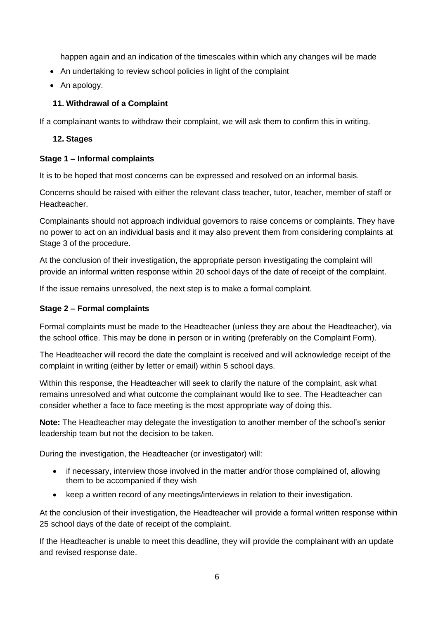happen again and an indication of the timescales within which any changes will be made

- An undertaking to review school policies in light of the complaint
- An apology.

#### **11. Withdrawal of a Complaint**

If a complainant wants to withdraw their complaint, we will ask them to confirm this in writing.

#### **12. Stages**

#### **Stage 1 – Informal complaints**

It is to be hoped that most concerns can be expressed and resolved on an informal basis.

Concerns should be raised with either the relevant class teacher, tutor, teacher, member of staff or Headteacher.

Complainants should not approach individual governors to raise concerns or complaints. They have no power to act on an individual basis and it may also prevent them from considering complaints at Stage 3 of the procedure.

At the conclusion of their investigation, the appropriate person investigating the complaint will provide an informal written response within 20 school days of the date of receipt of the complaint.

If the issue remains unresolved, the next step is to make a formal complaint.

#### **Stage 2 – Formal complaints**

Formal complaints must be made to the Headteacher (unless they are about the Headteacher), via the school office. This may be done in person or in writing (preferably on the Complaint Form).

The Headteacher will record the date the complaint is received and will acknowledge receipt of the complaint in writing (either by letter or email) within 5 school days.

Within this response, the Headteacher will seek to clarify the nature of the complaint, ask what remains unresolved and what outcome the complainant would like to see. The Headteacher can consider whether a face to face meeting is the most appropriate way of doing this.

**Note:** The Headteacher may delegate the investigation to another member of the school's senior leadership team but not the decision to be taken.

During the investigation, the Headteacher (or investigator) will:

- if necessary, interview those involved in the matter and/or those complained of, allowing them to be accompanied if they wish
- keep a written record of any meetings/interviews in relation to their investigation.

At the conclusion of their investigation, the Headteacher will provide a formal written response within 25 school days of the date of receipt of the complaint.

If the Headteacher is unable to meet this deadline, they will provide the complainant with an update and revised response date.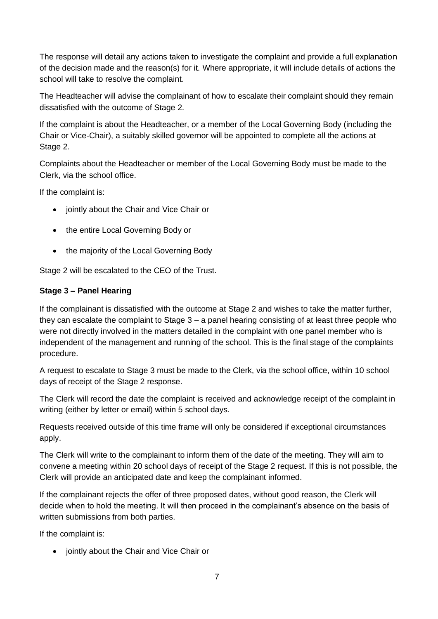The response will detail any actions taken to investigate the complaint and provide a full explanation of the decision made and the reason(s) for it. Where appropriate, it will include details of actions the school will take to resolve the complaint.

The Headteacher will advise the complainant of how to escalate their complaint should they remain dissatisfied with the outcome of Stage 2.

If the complaint is about the Headteacher, or a member of the Local Governing Body (including the Chair or Vice-Chair), a suitably skilled governor will be appointed to complete all the actions at Stage 2.

Complaints about the Headteacher or member of the Local Governing Body must be made to the Clerk, via the school office.

If the complaint is:

- jointly about the Chair and Vice Chair or
- the entire Local Governing Body or
- the majority of the Local Governing Body

Stage 2 will be escalated to the CEO of the Trust.

#### **Stage 3 – Panel Hearing**

If the complainant is dissatisfied with the outcome at Stage 2 and wishes to take the matter further, they can escalate the complaint to Stage 3 – a panel hearing consisting of at least three people who were not directly involved in the matters detailed in the complaint with one panel member who is independent of the management and running of the school. This is the final stage of the complaints procedure.

A request to escalate to Stage 3 must be made to the Clerk, via the school office, within 10 school days of receipt of the Stage 2 response.

The Clerk will record the date the complaint is received and acknowledge receipt of the complaint in writing (either by letter or email) within 5 school days.

Requests received outside of this time frame will only be considered if exceptional circumstances apply.

The Clerk will write to the complainant to inform them of the date of the meeting. They will aim to convene a meeting within 20 school days of receipt of the Stage 2 request. If this is not possible, the Clerk will provide an anticipated date and keep the complainant informed.

If the complainant rejects the offer of three proposed dates, without good reason, the Clerk will decide when to hold the meeting. It will then proceed in the complainant's absence on the basis of written submissions from both parties.

If the complaint is:

• jointly about the Chair and Vice Chair or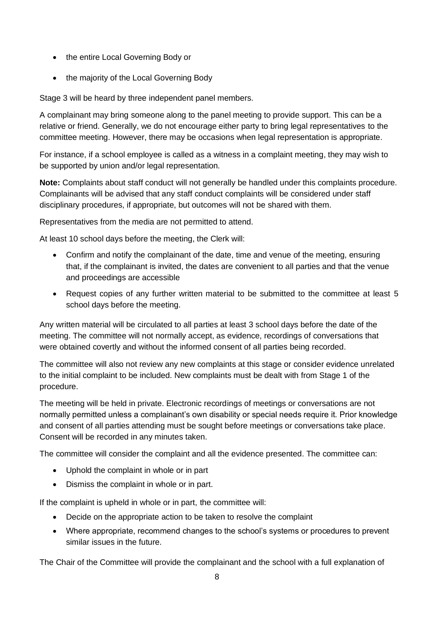- the entire Local Governing Body or
- the majority of the Local Governing Body

Stage 3 will be heard by three independent panel members.

A complainant may bring someone along to the panel meeting to provide support. This can be a relative or friend. Generally, we do not encourage either party to bring legal representatives to the committee meeting. However, there may be occasions when legal representation is appropriate.

For instance, if a school employee is called as a witness in a complaint meeting, they may wish to be supported by union and/or legal representation.

**Note:** Complaints about staff conduct will not generally be handled under this complaints procedure. Complainants will be advised that any staff conduct complaints will be considered under staff disciplinary procedures, if appropriate, but outcomes will not be shared with them.

Representatives from the media are not permitted to attend.

At least 10 school days before the meeting, the Clerk will:

- Confirm and notify the complainant of the date, time and venue of the meeting, ensuring that, if the complainant is invited, the dates are convenient to all parties and that the venue and proceedings are accessible
- Request copies of any further written material to be submitted to the committee at least 5 school days before the meeting.

Any written material will be circulated to all parties at least 3 school days before the date of the meeting. The committee will not normally accept, as evidence, recordings of conversations that were obtained covertly and without the informed consent of all parties being recorded.

The committee will also not review any new complaints at this stage or consider evidence unrelated to the initial complaint to be included. New complaints must be dealt with from Stage 1 of the procedure.

The meeting will be held in private. Electronic recordings of meetings or conversations are not normally permitted unless a complainant's own disability or special needs require it. Prior knowledge and consent of all parties attending must be sought before meetings or conversations take place. Consent will be recorded in any minutes taken.

The committee will consider the complaint and all the evidence presented. The committee can:

- Uphold the complaint in whole or in part
- Dismiss the complaint in whole or in part.

If the complaint is upheld in whole or in part, the committee will:

- Decide on the appropriate action to be taken to resolve the complaint
- Where appropriate, recommend changes to the school's systems or procedures to prevent similar issues in the future.

The Chair of the Committee will provide the complainant and the school with a full explanation of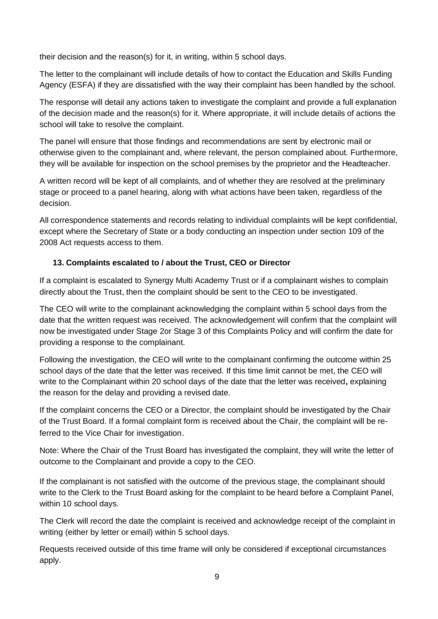their decision and the reason(s) for it, in writing, within 5 school days.

The letter to the complainant will include details of how to contact the Education and Skills Funding Agency (ESFA) if they are dissatisfied with the way their complaint has been handled by the school.

The response will detail any actions taken to investigate the complaint and provide a full explanation of the decision made and the reason(s) for it. Where appropriate, it will include details of actions the school will take to resolve the complaint.

The panel will ensure that those findings and recommendations are sent by electronic mail or otherwise given to the complainant and, where relevant, the person complained about. Furthermore, they will be available for inspection on the school premises by the proprietor and the Headteacher.

A written record will be kept of all complaints, and of whether they are resolved at the preliminary stage or proceed to a panel hearing, along with what actions have been taken, regardless of the decision.

All correspondence statements and records relating to individual complaints will be kept confidential, except where the Secretary of State or a body conducting an inspection under section 109 of the 2008 Act requests access to them.

#### **13. Complaints escalated to / about the Trust, CEO or Director**

If a complaint is escalated to Synergy Multi Academy Trust or if a complainant wishes to complain directly about the Trust, then the complaint should be sent to the CEO to be investigated.

The CEO will write to the complainant acknowledging the complaint within 5 school days from the date that the written request was received. The acknowledgement will confirm that the complaint will now be investigated under Stage 2or Stage 3 of this Complaints Policy and will confirm the date for providing a response to the complainant.

Following the investigation, the CEO will write to the complainant confirming the outcome within 25 school days of the date that the letter was received. If this time limit cannot be met, the CEO will write to the Complainant within 20 school days of the date that the letter was received**,** explaining the reason for the delay and providing a revised date.

If the complaint concerns the CEO or a Director, the complaint should be investigated by the Chair of the Trust Board. If a formal complaint form is received about the Chair, the complaint will be referred to the Vice Chair for investigation.

Note: Where the Chair of the Trust Board has investigated the complaint, they will write the letter of outcome to the Complainant and provide a copy to the CEO.

If the complainant is not satisfied with the outcome of the previous stage, the complainant should write to the Clerk to the Trust Board asking for the complaint to be heard before a Complaint Panel, within 10 school days.

The Clerk will record the date the complaint is received and acknowledge receipt of the complaint in writing (either by letter or email) within 5 school days.

Requests received outside of this time frame will only be considered if exceptional circumstances apply.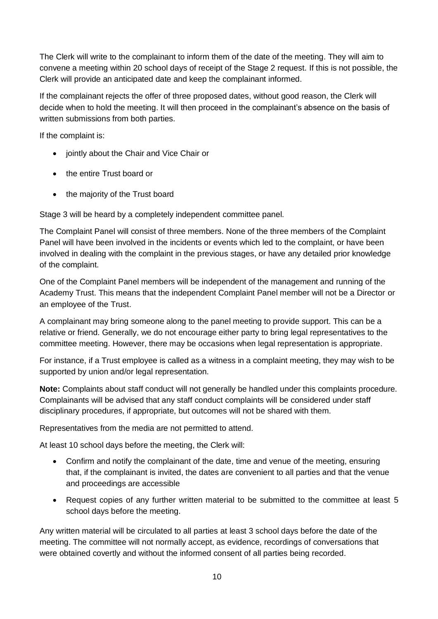The Clerk will write to the complainant to inform them of the date of the meeting. They will aim to convene a meeting within 20 school days of receipt of the Stage 2 request. If this is not possible, the Clerk will provide an anticipated date and keep the complainant informed.

If the complainant rejects the offer of three proposed dates, without good reason, the Clerk will decide when to hold the meeting. It will then proceed in the complainant's absence on the basis of written submissions from both parties.

If the complaint is:

- jointly about the Chair and Vice Chair or
- the entire Trust board or
- the majority of the Trust board

Stage 3 will be heard by a completely independent committee panel.

The Complaint Panel will consist of three members. None of the three members of the Complaint Panel will have been involved in the incidents or events which led to the complaint, or have been involved in dealing with the complaint in the previous stages, or have any detailed prior knowledge of the complaint.

One of the Complaint Panel members will be independent of the management and running of the Academy Trust. This means that the independent Complaint Panel member will not be a Director or an employee of the Trust.

A complainant may bring someone along to the panel meeting to provide support. This can be a relative or friend. Generally, we do not encourage either party to bring legal representatives to the committee meeting. However, there may be occasions when legal representation is appropriate.

For instance, if a Trust employee is called as a witness in a complaint meeting, they may wish to be supported by union and/or legal representation.

**Note:** Complaints about staff conduct will not generally be handled under this complaints procedure. Complainants will be advised that any staff conduct complaints will be considered under staff disciplinary procedures, if appropriate, but outcomes will not be shared with them.

Representatives from the media are not permitted to attend.

At least 10 school days before the meeting, the Clerk will:

- Confirm and notify the complainant of the date, time and venue of the meeting, ensuring that, if the complainant is invited, the dates are convenient to all parties and that the venue and proceedings are accessible
- Request copies of any further written material to be submitted to the committee at least 5 school days before the meeting.

Any written material will be circulated to all parties at least 3 school days before the date of the meeting. The committee will not normally accept, as evidence, recordings of conversations that were obtained covertly and without the informed consent of all parties being recorded.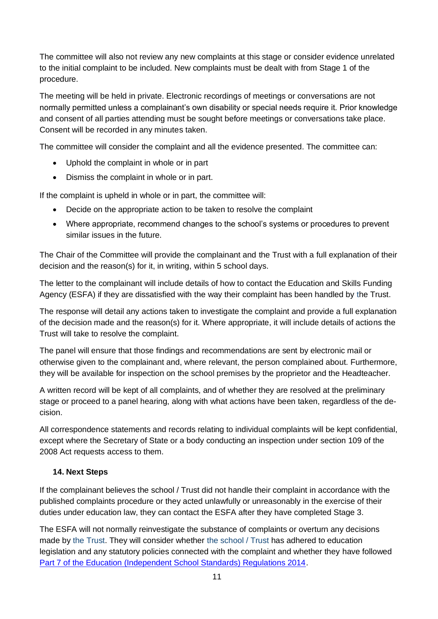The committee will also not review any new complaints at this stage or consider evidence unrelated to the initial complaint to be included. New complaints must be dealt with from Stage 1 of the procedure.

The meeting will be held in private. Electronic recordings of meetings or conversations are not normally permitted unless a complainant's own disability or special needs require it. Prior knowledge and consent of all parties attending must be sought before meetings or conversations take place. Consent will be recorded in any minutes taken.

The committee will consider the complaint and all the evidence presented. The committee can:

- Uphold the complaint in whole or in part
- Dismiss the complaint in whole or in part.

If the complaint is upheld in whole or in part, the committee will:

- Decide on the appropriate action to be taken to resolve the complaint
- Where appropriate, recommend changes to the school's systems or procedures to prevent similar issues in the future.

The Chair of the Committee will provide the complainant and the Trust with a full explanation of their decision and the reason(s) for it, in writing, within 5 school days.

The letter to the complainant will include details of how to contact the Education and Skills Funding Agency (ESFA) if they are dissatisfied with the way their complaint has been handled by the Trust.

The response will detail any actions taken to investigate the complaint and provide a full explanation of the decision made and the reason(s) for it. Where appropriate, it will include details of actions the Trust will take to resolve the complaint.

The panel will ensure that those findings and recommendations are sent by electronic mail or otherwise given to the complainant and, where relevant, the person complained about. Furthermore, they will be available for inspection on the school premises by the proprietor and the Headteacher.

A written record will be kept of all complaints, and of whether they are resolved at the preliminary stage or proceed to a panel hearing, along with what actions have been taken, regardless of the decision.

All correspondence statements and records relating to individual complaints will be kept confidential, except where the Secretary of State or a body conducting an inspection under section 109 of the 2008 Act requests access to them.

#### **14. Next Steps**

If the complainant believes the school / Trust did not handle their complaint in accordance with the published complaints procedure or they acted unlawfully or unreasonably in the exercise of their duties under education law, they can contact the ESFA after they have completed Stage 3.

The ESFA will not normally reinvestigate the substance of complaints or overturn any decisions made by the Trust. They will consider whether the school / Trust has adhered to education legislation and any statutory policies connected with the complaint and whether they have followed [Part 7 of the Education \(Independent School Standards\) Regulations 2014.](http://www.legislation.gov.uk/uksi/2010/1997/schedule/1/made)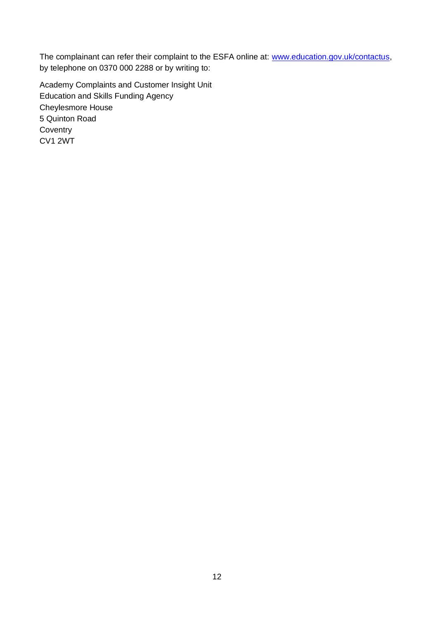The complainant can refer their complaint to the ESFA online at: [www.education.gov.uk/contactus,](http://www.education.gov.uk/contactus) by telephone on 0370 000 2288 or by writing to:

Academy Complaints and Customer Insight Unit Education and Skills Funding Agency Cheylesmore House 5 Quinton Road **Coventry** CV1 2WT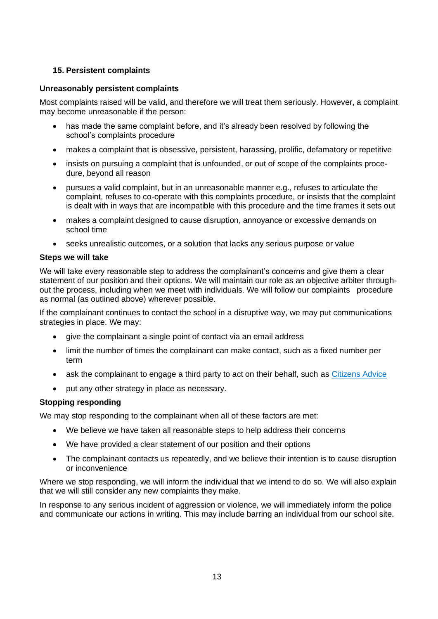#### **15. Persistent complaints**

#### **Unreasonably persistent complaints**

Most complaints raised will be valid, and therefore we will treat them seriously. However, a complaint may become unreasonable if the person:

- has made the same complaint before, and it's already been resolved by following the school's complaints procedure
- makes a complaint that is obsessive, persistent, harassing, prolific, defamatory or repetitive
- insists on pursuing a complaint that is unfounded, or out of scope of the complaints procedure, beyond all reason
- pursues a valid complaint, but in an unreasonable manner e.g., refuses to articulate the complaint, refuses to co-operate with this complaints procedure, or insists that the complaint is dealt with in ways that are incompatible with this procedure and the time frames it sets out
- makes a complaint designed to cause disruption, annoyance or excessive demands on school time
- seeks unrealistic outcomes, or a solution that lacks any serious purpose or value

#### **Steps we will take**

We will take every reasonable step to address the complainant's concerns and give them a clear statement of our position and their options. We will maintain our role as an objective arbiter throughout the process, including when we meet with individuals. We will follow our complaints procedure as normal (as outlined above) wherever possible.

If the complainant continues to contact the school in a disruptive way, we may put communications strategies in place. We may:

- give the complainant a single point of contact via an email address
- limit the number of times the complainant can make contact, such as a fixed number per term
- ask the complainant to engage a third party to act on their behalf, such as [Citizens Advice](https://www.citizensadvice.org.uk/)
- put any other strategy in place as necessary.

#### **Stopping responding**

We may stop responding to the complainant when all of these factors are met:

- We believe we have taken all reasonable steps to help address their concerns
- We have provided a clear statement of our position and their options
- The complainant contacts us repeatedly, and we believe their intention is to cause disruption or inconvenience

Where we stop responding, we will inform the individual that we intend to do so. We will also explain that we will still consider any new complaints they make.

In response to any serious incident of aggression or violence, we will immediately inform the police and communicate our actions in writing. This may include barring an individual from our school site.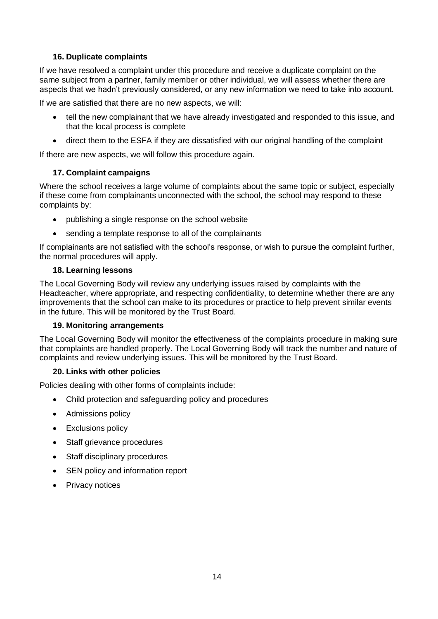#### **16. Duplicate complaints**

If we have resolved a complaint under this procedure and receive a duplicate complaint on the same subject from a partner, family member or other individual, we will assess whether there are aspects that we hadn't previously considered, or any new information we need to take into account.

If we are satisfied that there are no new aspects, we will:

- tell the new complainant that we have already investigated and responded to this issue, and that the local process is complete
- direct them to the ESFA if they are dissatisfied with our original handling of the complaint

If there are new aspects, we will follow this procedure again.

#### **17. Complaint campaigns**

Where the school receives a large volume of complaints about the same topic or subject, especially if these come from complainants unconnected with the school, the school may respond to these complaints by:

- publishing a single response on the school website
- sending a template response to all of the complainants

If complainants are not satisfied with the school's response, or wish to pursue the complaint further, the normal procedures will apply.

#### **18. Learning lessons**

The Local Governing Body will review any underlying issues raised by complaints with the Headteacher, where appropriate, and respecting confidentiality, to determine whether there are any improvements that the school can make to its procedures or practice to help prevent similar events in the future. This will be monitored by the Trust Board.

#### **19. Monitoring arrangements**

The Local Governing Body will monitor the effectiveness of the complaints procedure in making sure that complaints are handled properly. The Local Governing Body will track the number and nature of complaints and review underlying issues. This will be monitored by the Trust Board.

#### **20. Links with other policies**

Policies dealing with other forms of complaints include:

- Child protection and safeguarding policy and procedures
- Admissions policy
- Exclusions policy
- Staff grievance procedures
- Staff disciplinary procedures
- SEN policy and information report
- Privacy notices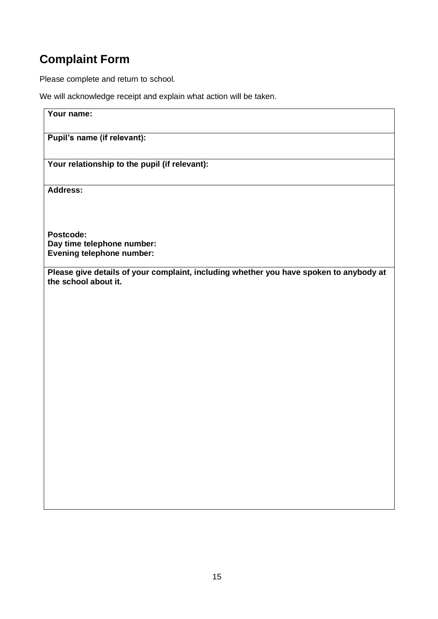## **Complaint Form**

Please complete and return to school*.*

We will acknowledge receipt and explain what action will be taken.

| Your name:                                                                                                     |
|----------------------------------------------------------------------------------------------------------------|
| Pupil's name (if relevant):                                                                                    |
| Your relationship to the pupil (if relevant):                                                                  |
| <b>Address:</b>                                                                                                |
| Postcode:                                                                                                      |
| Day time telephone number:                                                                                     |
| <b>Evening telephone number:</b>                                                                               |
| Please give details of your complaint, including whether you have spoken to anybody at<br>the school about it. |
|                                                                                                                |
|                                                                                                                |
|                                                                                                                |
|                                                                                                                |
|                                                                                                                |
|                                                                                                                |
|                                                                                                                |
|                                                                                                                |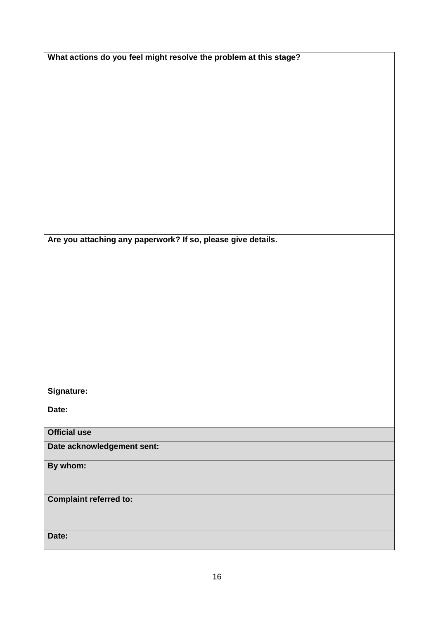|  | What actions do you feel might resolve the problem at this stage? |
|--|-------------------------------------------------------------------|

**Are you attaching any paperwork? If so, please give details.**

#### **Signature:**

**Date:**

**Official use**

**Date acknowledgement sent:**

**By whom:** 

**Complaint referred to:**

**Date:**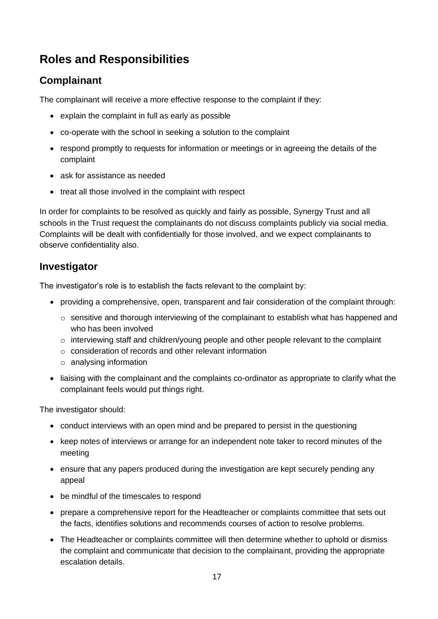## **Roles and Responsibilities**

## **Complainant**

The complainant will receive a more effective response to the complaint if they:

- explain the complaint in full as early as possible
- co-operate with the school in seeking a solution to the complaint
- respond promptly to requests for information or meetings or in agreeing the details of the complaint
- ask for assistance as needed
- treat all those involved in the complaint with respect

In order for complaints to be resolved as quickly and fairly as possible, Synergy Trust and all schools in the Trust request the complainants do not discuss complaints publicly via social media. Complaints will be dealt with confidentially for those involved, and we expect complainants to observe confidentiality also.

## **Investigator**

The investigator's role is to establish the facts relevant to the complaint by:

- providing a comprehensive, open, transparent and fair consideration of the complaint through:
	- o sensitive and thorough interviewing of the complainant to establish what has happened and who has been involved
	- o interviewing staff and children/young people and other people relevant to the complaint
	- o consideration of records and other relevant information
	- o analysing information
- liaising with the complainant and the complaints co-ordinator as appropriate to clarify what the complainant feels would put things right.

The investigator should:

- conduct interviews with an open mind and be prepared to persist in the questioning
- keep notes of interviews or arrange for an independent note taker to record minutes of the meeting
- ensure that any papers produced during the investigation are kept securely pending any appeal
- be mindful of the timescales to respond
- prepare a comprehensive report for the Headteacher or complaints committee that sets out the facts, identifies solutions and recommends courses of action to resolve problems.
- The Headteacher or complaints committee will then determine whether to uphold or dismiss the complaint and communicate that decision to the complainant, providing the appropriate escalation details.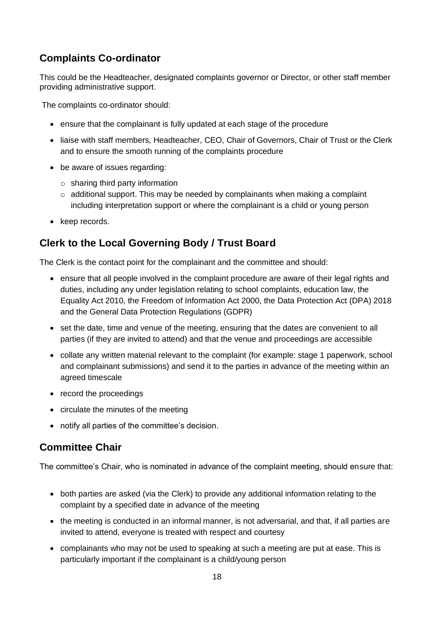## **Complaints Co-ordinator**

This could be the Headteacher, designated complaints governor or Director, or other staff member providing administrative support.

The complaints co-ordinator should:

- ensure that the complainant is fully updated at each stage of the procedure
- liaise with staff members, Headteacher, CEO, Chair of Governors, Chair of Trust or the Clerk and to ensure the smooth running of the complaints procedure
- be aware of issues regarding:
	- $\circ$  sharing third party information
	- $\circ$  additional support. This may be needed by complainants when making a complaint including interpretation support or where the complainant is a child or young person
- keep records.

## **Clerk to the Local Governing Body / Trust Board**

The Clerk is the contact point for the complainant and the committee and should:

- ensure that all people involved in the complaint procedure are aware of their legal rights and duties, including any under legislation relating to school complaints, education law, the Equality Act 2010, the Freedom of Information Act 2000, the Data Protection Act (DPA) 2018 and the General Data Protection Regulations (GDPR)
- set the date, time and venue of the meeting, ensuring that the dates are convenient to all parties (if they are invited to attend) and that the venue and proceedings are accessible
- collate any written material relevant to the complaint (for example: stage 1 paperwork, school and complainant submissions) and send it to the parties in advance of the meeting within an agreed timescale
- record the proceedings
- circulate the minutes of the meeting
- notify all parties of the committee's decision.

## **Committee Chair**

The committee's Chair, who is nominated in advance of the complaint meeting, should ensure that:

- both parties are asked (via the Clerk) to provide any additional information relating to the complaint by a specified date in advance of the meeting
- the meeting is conducted in an informal manner, is not adversarial, and that, if all parties are invited to attend, everyone is treated with respect and courtesy
- complainants who may not be used to speaking at such a meeting are put at ease. This is particularly important if the complainant is a child/young person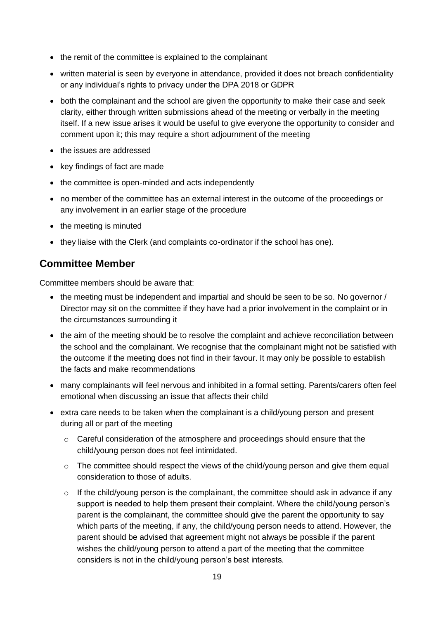- the remit of the committee is explained to the complainant
- written material is seen by everyone in attendance, provided it does not breach confidentiality or any individual's rights to privacy under the DPA 2018 or GDPR
- both the complainant and the school are given the opportunity to make their case and seek clarity, either through written submissions ahead of the meeting or verbally in the meeting itself. If a new issue arises it would be useful to give everyone the opportunity to consider and comment upon it; this may require a short adjournment of the meeting
- the issues are addressed
- key findings of fact are made
- the committee is open-minded and acts independently
- no member of the committee has an external interest in the outcome of the proceedings or any involvement in an earlier stage of the procedure
- the meeting is minuted
- they liaise with the Clerk (and complaints co-ordinator if the school has one).

### **Committee Member**

Committee members should be aware that:

- the meeting must be independent and impartial and should be seen to be so. No governor / Director may sit on the committee if they have had a prior involvement in the complaint or in the circumstances surrounding it
- the aim of the meeting should be to resolve the complaint and achieve reconciliation between the school and the complainant. We recognise that the complainant might not be satisfied with the outcome if the meeting does not find in their favour. It may only be possible to establish the facts and make recommendations
- many complainants will feel nervous and inhibited in a formal setting. Parents/carers often feel emotional when discussing an issue that affects their child
- extra care needs to be taken when the complainant is a child/young person and present during all or part of the meeting
	- $\circ$  Careful consideration of the atmosphere and proceedings should ensure that the child/young person does not feel intimidated.
	- o The committee should respect the views of the child/young person and give them equal consideration to those of adults.
	- $\circ$  If the child/young person is the complainant, the committee should ask in advance if any support is needed to help them present their complaint. Where the child/young person's parent is the complainant, the committee should give the parent the opportunity to say which parts of the meeting, if any, the child/young person needs to attend. However, the parent should be advised that agreement might not always be possible if the parent wishes the child/young person to attend a part of the meeting that the committee considers is not in the child/young person's best interests.